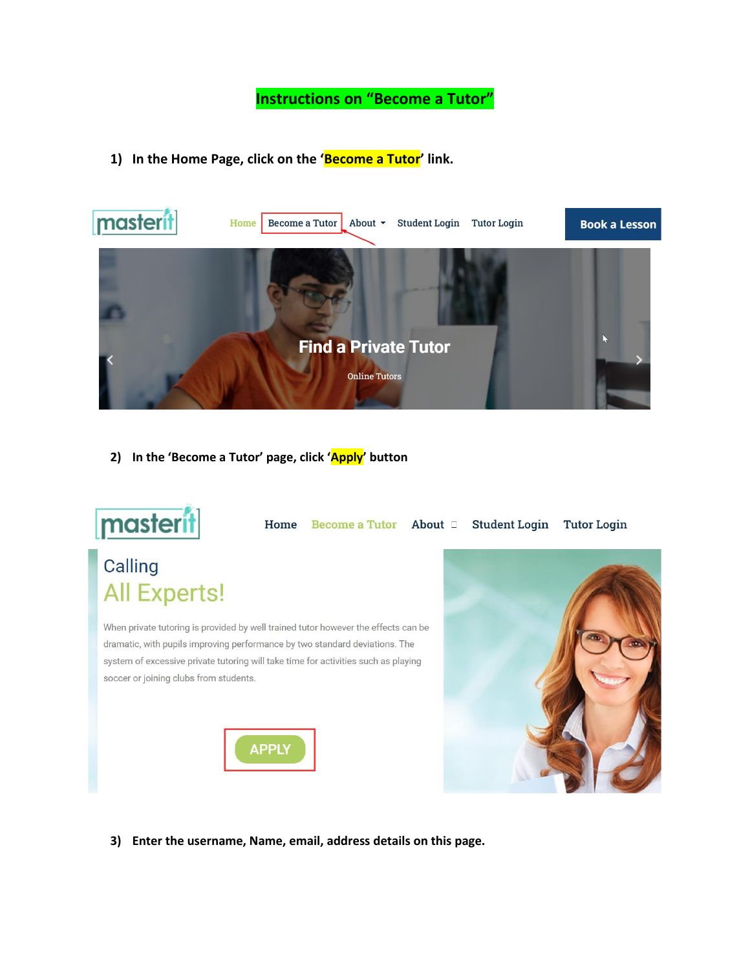**Instructions on "Become a Tutor"**

**1) In the Home Page, click on the 'Become a Tutor' link.**



**2) In the 'Become a Tutor' page, click 'Apply' button**



Home Become a Tutor About D Student Login Tutor Login

# Calling All Experts!

When private tutoring is provided by well trained tutor however the effects can be dramatic, with pupils improving performance by two standard deviations. The system of excessive private tutoring will take time for activities such as playing soccer or joining clubs from students.





**3) Enter the username, Name, email, address details on this page.**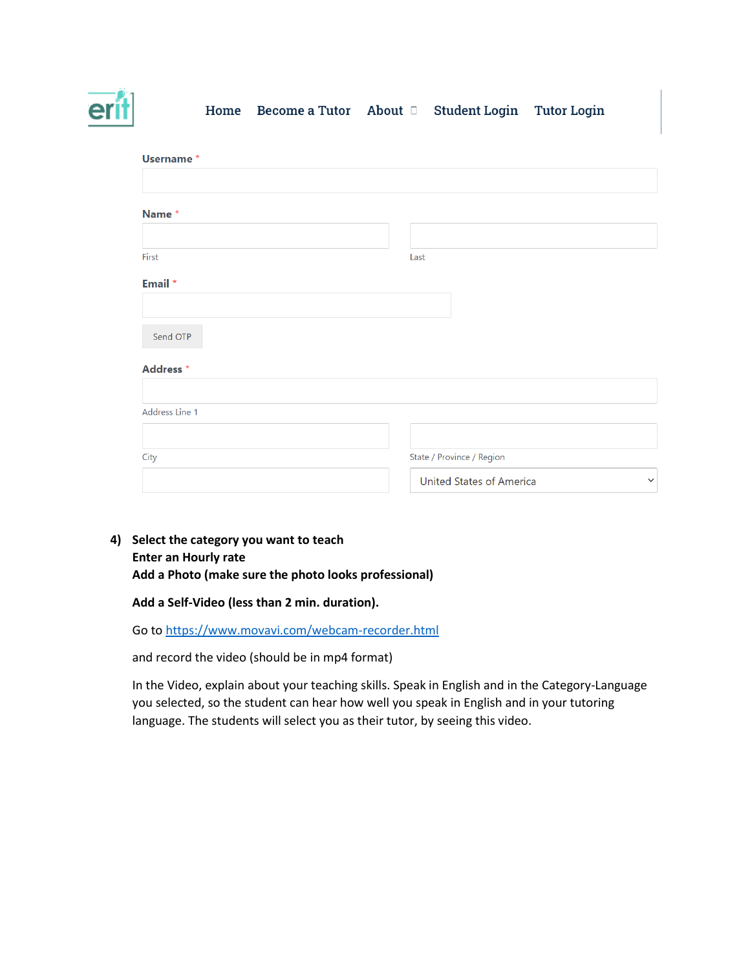

#### Home Become a Tutor About D **Student Login Tutor Login**

| Username*      |                                                 |
|----------------|-------------------------------------------------|
|                |                                                 |
| Name*          |                                                 |
|                |                                                 |
| First          | Last                                            |
| Email *        |                                                 |
|                |                                                 |
| Send OTP       |                                                 |
| Address *      |                                                 |
|                |                                                 |
| Address Line 1 |                                                 |
|                |                                                 |
| City           | State / Province / Region                       |
|                | <b>United States of America</b><br>$\checkmark$ |

**4) Select the category you want to teach Enter an Hourly rate Add a Photo (make sure the photo looks professional)**

### **Add a Self-Video (less than 2 min. duration).**

Go to<https://www.movavi.com/webcam-recorder.html>

and record the video (should be in mp4 format)

In the Video, explain about your teaching skills. Speak in English and in the Category-Language you selected, so the student can hear how well you speak in English and in your tutoring language. The students will select you as their tutor, by seeing this video.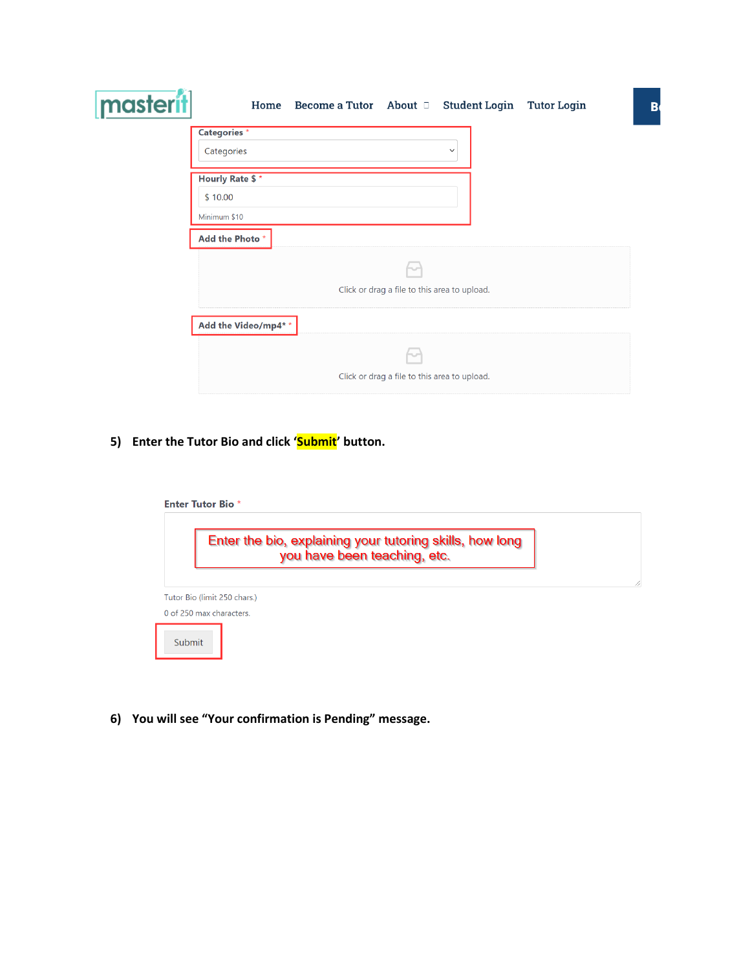| masterit | Home Become a Tutor About D Student Login<br><b>Tutor Login</b> | $\overline{B}$ |
|----------|-----------------------------------------------------------------|----------------|
|          | <b>Categories</b> *<br>Categories<br>$\check{ }$                |                |
|          | <b>Hourly Rate \$*</b><br>\$10.00<br>Minimum \$10               |                |
|          | Add the Photo*                                                  |                |
|          | Click or drag a file to this area to upload.                    |                |
|          | Add the Video/mp4**                                             |                |
|          | Click or drag a file to this area to upload.                    |                |

**5) Enter the Tutor Bio and click 'Submit' button.**

|                              | Enter the bio, explaining your tutoring skills, how long<br>you have been teaching, etc. |
|------------------------------|------------------------------------------------------------------------------------------|
| Tutor Bio (limit 250 chars.) |                                                                                          |
| 0 of 250 max characters.     |                                                                                          |

**6) You will see "Your confirmation is Pending" message.**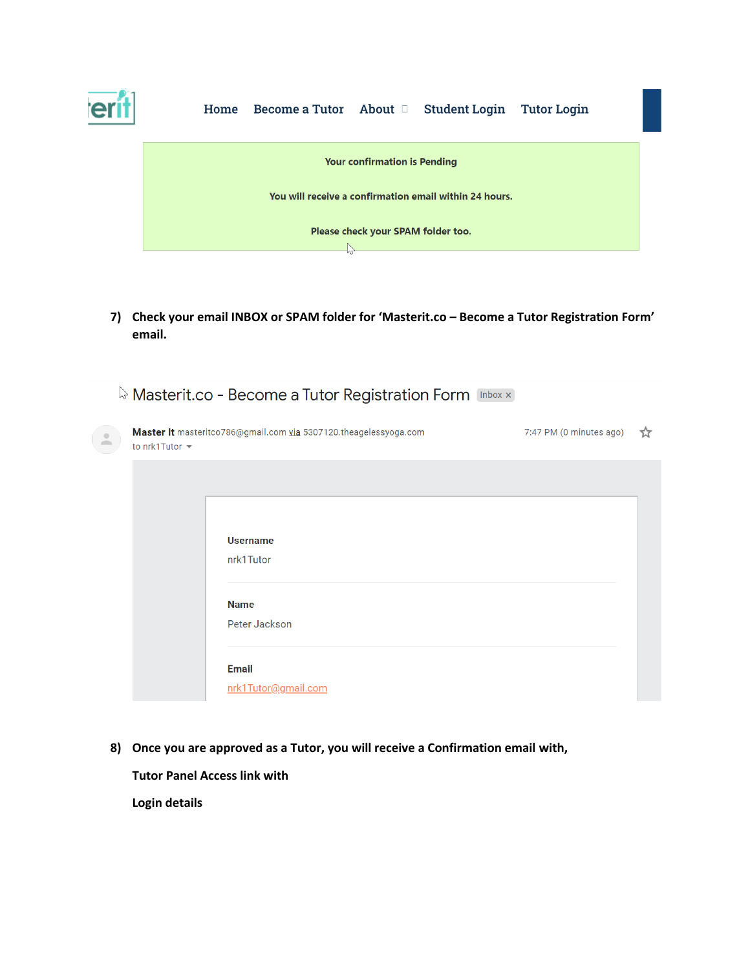

### Home Become a Tutor About a Student Login Tutor Login



**7) Check your email INBOX or SPAM folder for 'Masterit.co – Become a Tutor Registration Form' email.**

|                     | <b>&amp; Masterit.co - Become a Tutor Registration Form [Inbox x]</b> |                         |    |
|---------------------|-----------------------------------------------------------------------|-------------------------|----|
| to nrk1Tutor $\sim$ | Master It masteritco786@gmail.com via 5307120.theagelessyoga.com      | 7:47 PM (0 minutes ago) | ጚፘ |
|                     |                                                                       |                         |    |
|                     | <b>Username</b><br>nrk1Tutor                                          |                         |    |
|                     | <b>Name</b><br>Peter Jackson                                          |                         |    |
|                     | <b>Email</b><br>nrk1Tutor@gmail.com                                   |                         |    |

**8) Once you are approved as a Tutor, you will receive a Confirmation email with,**

**Tutor Panel Access link with**

**Login details**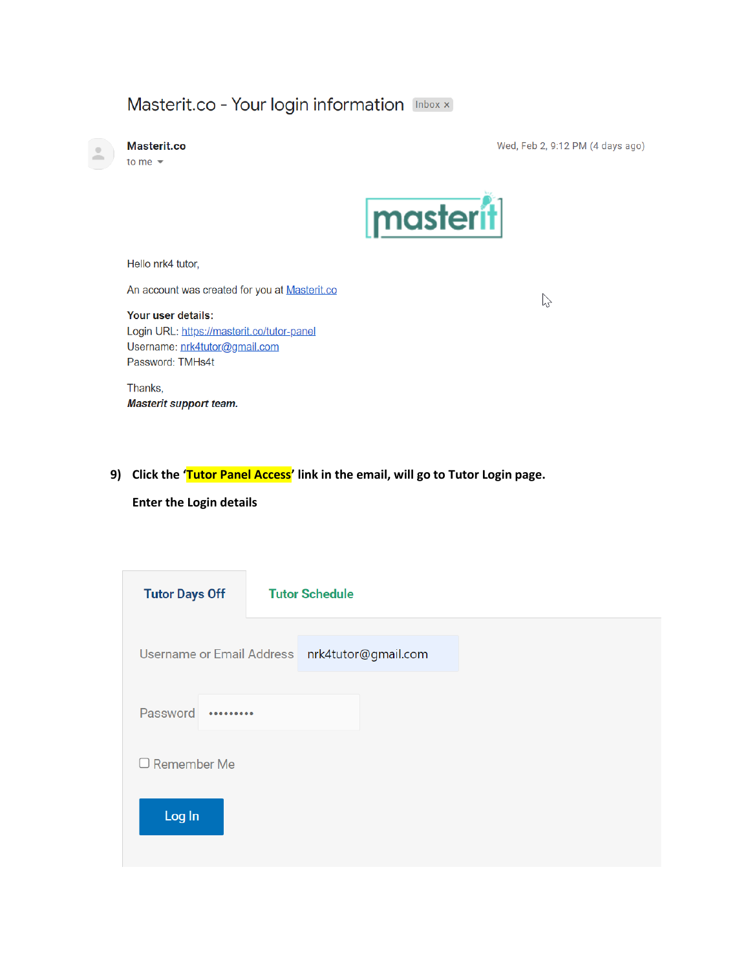## Masterit.co - Your login information Inbox x



Masterit.co

to me  $\sqrt{*}$ 

Wed, Feb 2, 9:12 PM (4 days ago)

 $\mathbb{Z}$ 



Hello nrk4 tutor,

An account was created for you at Masterit.co

### Your user details:

Login URL: https://masterit.co/tutor-panel Username: nrk4tutor@gmail.com Password: TMHs4t

Thanks, Masterit support team.

### **9) Click the 'Tutor Panel Access' link in the email, will go to Tutor Login page.**

**Enter the Login details**

| <b>Tutor Days Off</b> | <b>Tutor Schedule</b>                         |
|-----------------------|-----------------------------------------------|
|                       | Username or Email Address nrk4tutor@gmail.com |
| Password<br>          |                                               |
| $\Box$ Remember Me    |                                               |
| Log In                |                                               |
|                       |                                               |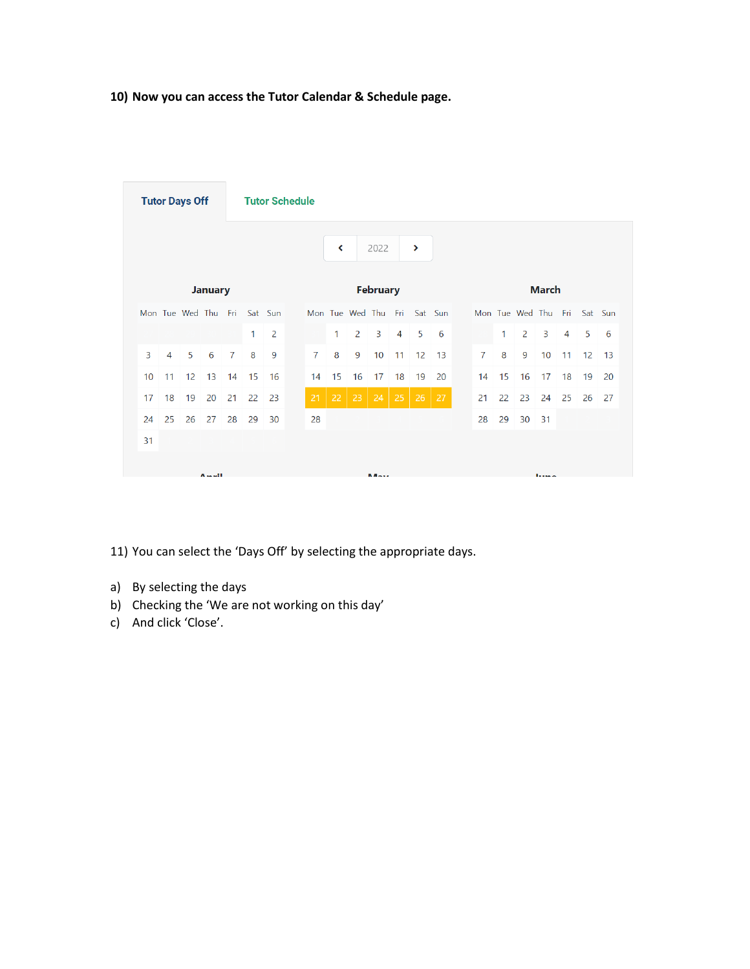### **10) Now you can access the Tutor Calendar & Schedule page.**

| <b>Tutor Schedule</b><br><b>Tutor Days Off</b> |                |                     |                |                |    |         |                |                      |                             |                 |                |                       |              |  |                |    |                     |              |                |    |         |  |  |
|------------------------------------------------|----------------|---------------------|----------------|----------------|----|---------|----------------|----------------------|-----------------------------|-----------------|----------------|-----------------------|--------------|--|----------------|----|---------------------|--------------|----------------|----|---------|--|--|
|                                                |                |                     |                |                |    |         |                | $\blacktriangleleft$ |                             | 2022            |                | $\blacktriangleright$ |              |  |                |    |                     |              |                |    |         |  |  |
|                                                |                |                     | <b>January</b> |                |    |         |                |                      |                             | <b>February</b> |                |                       | <b>March</b> |  |                |    |                     |              |                |    |         |  |  |
|                                                |                | Mon Tue Wed Thu Fri |                |                |    | Sat Sun |                |                      | Mon Tue Wed Thu Fri Sat Sun |                 |                |                       |              |  |                |    | Mon Tue Wed Thu Fri |              |                |    | Sat Sun |  |  |
|                                                |                |                     |                |                | 1  | 2       |                | 1                    | 2                           | 3               | $\overline{4}$ | 5                     | 6            |  |                | 1. | $\overline{2}$      | 3            | $\overline{4}$ | 5  | 6       |  |  |
| 3                                              | $\overline{4}$ | 5                   | 6              | $\overline{7}$ | 8  | 9       | $\overline{7}$ | 8                    | 9                           | 10              | 11             | 12                    | 13           |  | $\overline{7}$ | 8  | 9                   | 10           | 11             | 12 | 13      |  |  |
| 10 <sup>°</sup>                                | 11             | 12 <sup>°</sup>     | 13             | 14             | 15 | -16     | 14             | 15                   | 16                          | 17              | 18             | 19                    | 20           |  | 14             | 15 | 16                  | 17           | 18             | 19 | 20      |  |  |
| 17                                             | 18             | 19                  | 20             | 21             | 22 | 23      | 21             | 22                   | $23-1$                      | 24              | 25             | 26                    | $-27$        |  | 21             | 22 | 23                  | 24           | 25             | 26 | 27      |  |  |
| 24                                             | 25             | 26                  | 27             | 28             | 29 | 30      | 28             |                      |                             |                 |                |                       |              |  | 28             | 29 | 30                  | $-31$        |                |    |         |  |  |
| 31                                             |                |                     |                |                |    |         |                |                      |                             |                 |                |                       |              |  |                |    |                     |              |                |    |         |  |  |
|                                                |                |                     | Assail.        |                |    |         |                |                      |                             | <b>BA-15</b>    |                |                       |              |  |                |    |                     | <b>Links</b> |                |    |         |  |  |

11) You can select the 'Days Off' by selecting the appropriate days.

- a) By selecting the days
- b) Checking the 'We are not working on this day'
- c) And click 'Close'.